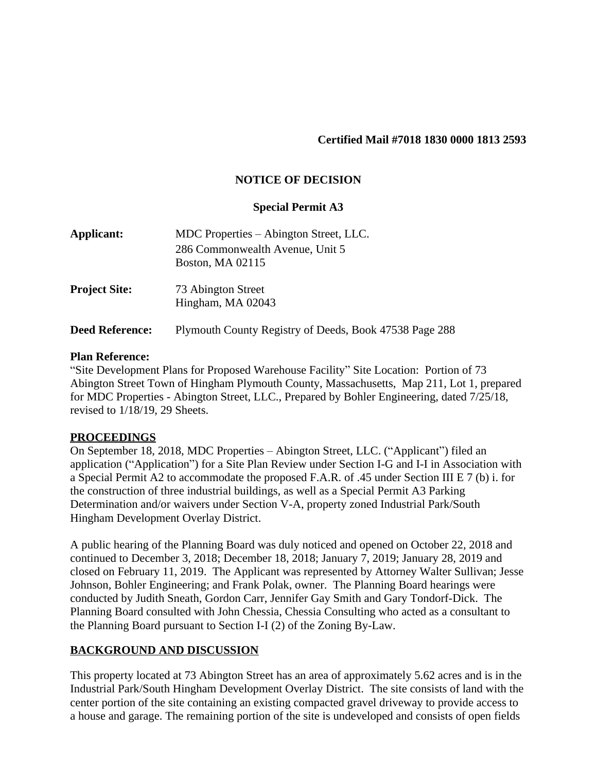#### **Certified Mail #7018 1830 0000 1813 2593**

### **NOTICE OF DECISION**

#### **Special Permit A3**

| Applicant:             | MDC Properties – Abington Street, LLC.<br>286 Commonwealth Avenue, Unit 5<br><b>Boston, MA 02115</b> |
|------------------------|------------------------------------------------------------------------------------------------------|
| <b>Project Site:</b>   | 73 Abington Street<br>Hingham, MA 02043                                                              |
| <b>Deed Reference:</b> | Plymouth County Registry of Deeds, Book 47538 Page 288                                               |

#### **Plan Reference:**

"Site Development Plans for Proposed Warehouse Facility" Site Location: Portion of 73 Abington Street Town of Hingham Plymouth County, Massachusetts, Map 211, Lot 1, prepared for MDC Properties - Abington Street, LLC., Prepared by Bohler Engineering, dated 7/25/18, revised to 1/18/19, 29 Sheets.

## **PROCEEDINGS**

On September 18, 2018, MDC Properties – Abington Street, LLC. ("Applicant") filed an application ("Application") for a Site Plan Review under Section I-G and I-I in Association with a Special Permit A2 to accommodate the proposed F.A.R. of .45 under Section III E 7 (b) i. for the construction of three industrial buildings, as well as a Special Permit A3 Parking Determination and/or waivers under Section V-A, property zoned Industrial Park/South Hingham Development Overlay District.

A public hearing of the Planning Board was duly noticed and opened on October 22, 2018 and continued to December 3, 2018; December 18, 2018; January 7, 2019; January 28, 2019 and closed on February 11, 2019. The Applicant was represented by Attorney Walter Sullivan; Jesse Johnson, Bohler Engineering; and Frank Polak, owner. The Planning Board hearings were conducted by Judith Sneath, Gordon Carr, Jennifer Gay Smith and Gary Tondorf-Dick. The Planning Board consulted with John Chessia, Chessia Consulting who acted as a consultant to the Planning Board pursuant to Section I-I (2) of the Zoning By-Law.

## **BACKGROUND AND DISCUSSION**

This property located at 73 Abington Street has an area of approximately 5.62 acres and is in the Industrial Park/South Hingham Development Overlay District. The site consists of land with the center portion of the site containing an existing compacted gravel driveway to provide access to a house and garage. The remaining portion of the site is undeveloped and consists of open fields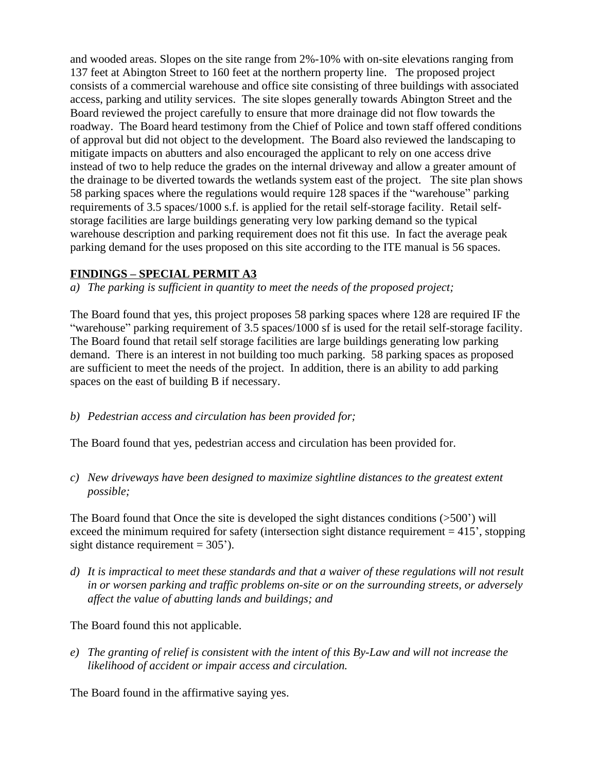and wooded areas. Slopes on the site range from 2%-10% with on-site elevations ranging from 137 feet at Abington Street to 160 feet at the northern property line. The proposed project consists of a commercial warehouse and office site consisting of three buildings with associated access, parking and utility services. The site slopes generally towards Abington Street and the Board reviewed the project carefully to ensure that more drainage did not flow towards the roadway. The Board heard testimony from the Chief of Police and town staff offered conditions of approval but did not object to the development. The Board also reviewed the landscaping to mitigate impacts on abutters and also encouraged the applicant to rely on one access drive instead of two to help reduce the grades on the internal driveway and allow a greater amount of the drainage to be diverted towards the wetlands system east of the project. The site plan shows 58 parking spaces where the regulations would require 128 spaces if the "warehouse" parking requirements of 3.5 spaces/1000 s.f. is applied for the retail self-storage facility. Retail selfstorage facilities are large buildings generating very low parking demand so the typical warehouse description and parking requirement does not fit this use. In fact the average peak parking demand for the uses proposed on this site according to the ITE manual is 56 spaces.

## **FINDINGS – SPECIAL PERMIT A3**

*a) The parking is sufficient in quantity to meet the needs of the proposed project;*

The Board found that yes, this project proposes 58 parking spaces where 128 are required IF the "warehouse" parking requirement of 3.5 spaces/1000 sf is used for the retail self-storage facility. The Board found that retail self storage facilities are large buildings generating low parking demand. There is an interest in not building too much parking. 58 parking spaces as proposed are sufficient to meet the needs of the project. In addition, there is an ability to add parking spaces on the east of building B if necessary.

*b) Pedestrian access and circulation has been provided for;*

The Board found that yes, pedestrian access and circulation has been provided for.

*c) New driveways have been designed to maximize sightline distances to the greatest extent possible;*

The Board found that Once the site is developed the sight distances conditions  $(500)$  will exceed the minimum required for safety (intersection sight distance requirement  $= 415^{\circ}$ , stopping sight distance requirement  $= 305$ <sup>'</sup>).

*d) It is impractical to meet these standards and that a waiver of these regulations will not result in or worsen parking and traffic problems on-site or on the surrounding streets, or adversely affect the value of abutting lands and buildings; and*

The Board found this not applicable.

*e) The granting of relief is consistent with the intent of this By-Law and will not increase the likelihood of accident or impair access and circulation.*

The Board found in the affirmative saying yes.